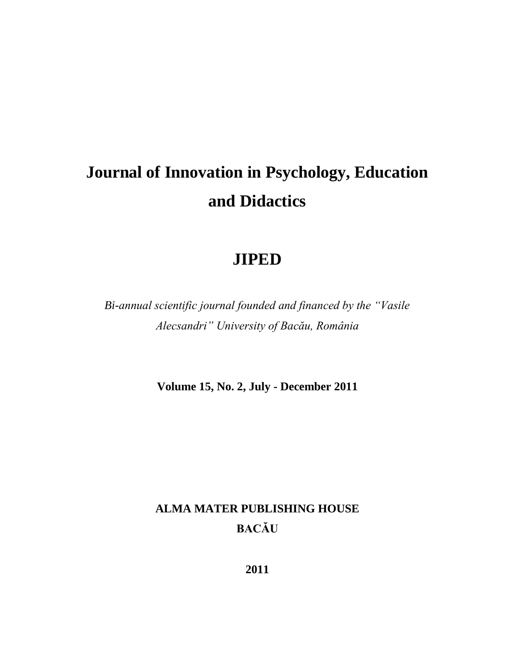# **Journal of Innovation in Psychology, Education and Didactics**

# **JIPED**

*Bi-annual scientific journal founded and financed by the "Vasile Alecsandri" University of Bacău, România*

**Volume 15, No. 2, July - December 2011**

# **ALMA MATER PUBLISHING HOUSE BACĂU**

**2011**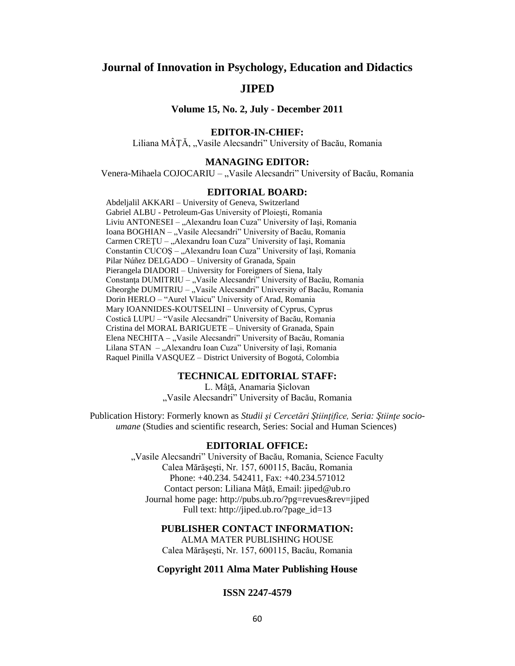# **Journal of Innovation in Psychology, Education and Didactics**

## **JIPED**

**Volume 15, No. 2, July - December 2011**

#### **EDITOR-IN-CHIEF:**

Liliana MÂȚĂ, "Vasile Alecsandri" University of Bacău, Romania

#### **MANAGING EDITOR:**

Venera-Mihaela COJOCARIU – "Vasile Alecsandri" University of Bacău, Romania

#### **EDITORIAL BOARD:**

Abdeljalil AKKARI – University of Geneva, Switzerland Gabriel ALBU - Petroleum-Gas University of Ploieşti, Romania Liviu ANTONESEI – "Alexandru Ioan Cuza" University of Iași, Romania Ioana BOGHIAN – "Vasile Alecsandri" University of Bacău, Romania Carmen CREȚU – "Alexandru Ioan Cuza" University of Iași, Romania Constantin CUCOS – "Alexandru Ioan Cuza" University of Iasi, Romania Pilar Núñez DELGADO – University of Granada, Spain Pierangela DIADORI – University for Foreigners of Siena, Italy Constanța DUMITRIU – "Vasile Alecsandri" University of Bacău, Romania Gheorghe DUMITRIU – "Vasile Alecsandri" University of Bacău, Romania Dorin HERLO – "Aurel Vlaicu" University of Arad, Romania Mary IOANNIDES-KOUTSELINI – Unıversity of Cyprus, Cyprus Costică LUPU – "Vasile Alecsandri" University of Bacău, Romania Cristina del MORAL BARIGUETE – University of Granada, Spain Elena NECHITA – "Vasile Alecsandri" University of Bacău, Romania Lilana STAN – "Alexandru Ioan Cuza" University of Iași, Romania Raquel Pinilla VASQUEZ – District University of Bogotá, Colombia

#### **TECHNICAL EDITORIAL STAFF:**

L. Mâţă, Anamaria Şiclovan "Vasile Alecsandri" University of Bacău, Romania

Publication History: Formerly known as *Studii şi Cercetări Ştiinţifice, Seria: Ştiinţe socioumane* (Studies and scientific research, Series: Social and Human Sciences)

#### **EDITORIAL OFFICE:**

"Vasile Alecsandri" University of Bacău, Romania, Science Faculty Calea Mărăşeşti, Nr. 157, 600115, Bacău, Romania Phone: +40.234. 542411, Fax: +40.234.571012 Contact person: Liliana Mâtă, Email: [jiped@ub.ro](mailto:jiped@ub.ro) Journal home page: <http://pubs.ub.ro/?pg=revues&rev=jiped> Full text: [http://jiped.ub.ro/?page\\_id=13](http://jiped.ub.ro/?page_id=13)

#### **PUBLISHER CONTACT INFORMATION:**

ALMA MATER PUBLISHING HOUSE Calea Mărăşeşti, Nr. 157, 600115, Bacău, Romania

#### **Copyright 2011 Alma Mater Publishing House**

#### **ISSN 2247-4579**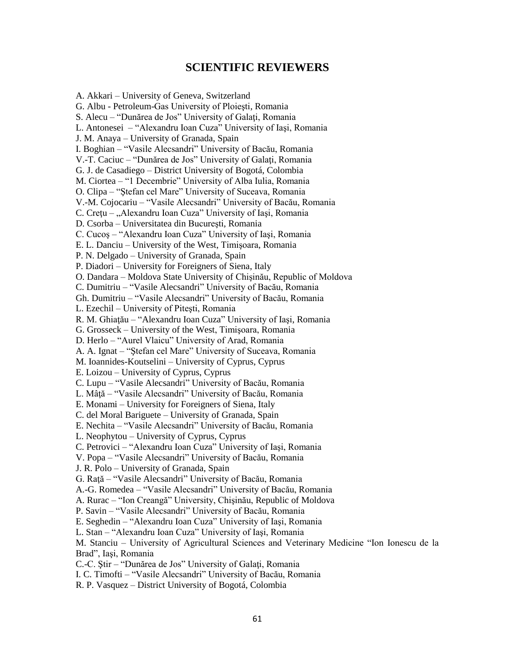## **SCIENTIFIC REVIEWERS**

A. Akkari – University of Geneva, Switzerland G. Albu - Petroleum-Gas University of Ploieşti, Romania S. Alecu – "Dunărea de Jos" University of Galati, Romania L. Antonesei – "Alexandru Ioan Cuza" University of Iaşi, Romania J. M. Anaya – University of Granada, Spain I. Boghian – "Vasile Alecsandri" University of Bacău, Romania V.-T. Caciuc – "Dunărea de Jos" University of Galaţi, Romania G. J. de Casadiego – District University of Bogotá, Colombia M. Ciortea – "1 Decembrie" University of Alba Iulia, Romania O. Clipa – "Ştefan cel Mare" University of Suceava, Romania V.-M. Cojocariu – "Vasile Alecsandri" University of Bacău, Romania C. Crețu – "Alexandru Ioan Cuza" University of Iași, Romania D. Csorba – Universitatea din Bucureşti, Romania C. Cucoş – "Alexandru Ioan Cuza" University of Iaşi, Romania E. L. Danciu – University of the West, Timişoara, Romania P. N. Delgado – University of Granada, Spain P. Diadori – University for Foreigners of Siena, Italy O. Dandara – Moldova State University of Chişinău, Republic of Moldova C. Dumitriu – "Vasile Alecsandri" University of Bacău, Romania Gh. Dumitriu – "Vasile Alecsandri" University of Bacău, Romania L. Ezechil – University of Piteşti, Romania R. M. Ghiaţău – "Alexandru Ioan Cuza" University of Iaşi, Romania G. Grosseck – University of the West, Timişoara, Romania D. Herlo – "Aurel Vlaicu" University of Arad, Romania A. A. Ignat – "Ştefan cel Mare" University of Suceava, Romania M. Ioannides-Koutselini – University of Cyprus, Cyprus E. Loizou – University of Cyprus, Cyprus C. Lupu – "Vasile Alecsandri" University of Bacău, Romania L. Mâţă – "Vasile Alecsandri" University of Bacău, Romania E. Monami – University for Foreigners of Siena, Italy C. del Moral Bariguete – University of Granada, Spain E. Nechita – "Vasile Alecsandri" University of Bacău, Romania L. Neophytou – University of Cyprus, Cyprus C. Petrovici – "Alexandru Ioan Cuza" University of Iaşi, Romania V. Popa – "Vasile Alecsandri" University of Bacău, Romania J. R. Polo – University of Granada, Spain G. Raţă – "Vasile Alecsandri" University of Bacău, Romania A.-G. Romedea – "Vasile Alecsandri" University of Bacău, Romania A. Rurac – "Ion Creangă" University, Chişinău, Republic of Moldova P. Savin – "Vasile Alecsandri" University of Bacău, Romania E. Seghedin – "Alexandru Ioan Cuza" University of Iaşi, Romania L. Stan – "Alexandru Ioan Cuza" University of Iaşi, Romania M. Stanciu – University of Agricultural Sciences and Veterinary Medicine "Ion Ionescu de la Brad", Iaşi, Romania C.-C. Ştir – "Dunărea de Jos" University of Galaţi, Romania I. C. Timofti – "Vasile Alecsandri" University of Bacău, Romania R. P. Vasquez – District University of Bogotá, Colombia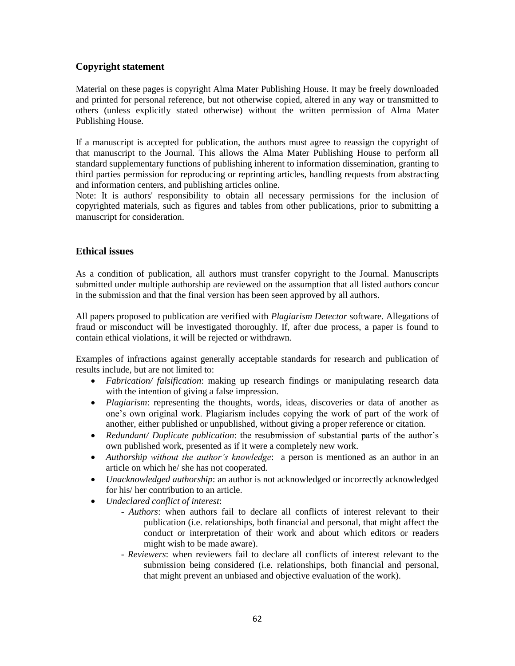### **Copyright statement**

Material on these pages is copyright Alma Mater Publishing House. It may be freely downloaded and printed for personal reference, but not otherwise copied, altered in any way or transmitted to others (unless explicitly stated otherwise) without the written permission of Alma Mater Publishing House.

If a manuscript is accepted for publication, the authors must agree to reassign the copyright of that manuscript to the Journal. This allows the Alma Mater Publishing House to perform all standard supplementary functions of publishing inherent to information dissemination, granting to third parties permission for reproducing or reprinting articles, handling requests from abstracting and information centers, and publishing articles online.

Note: It is authors' responsibility to obtain all necessary permissions for the inclusion of copyrighted materials, such as figures and tables from other publications, prior to submitting a manuscript for consideration.

### **Ethical issues**

As a condition of publication, all authors must transfer copyright to the Journal. Manuscripts submitted under multiple authorship are reviewed on the assumption that all listed authors concur in the submission and that the final version has been seen approved by all authors.

All papers proposed to publication are verified with *Plagiarism Detector* software. Allegations of fraud or misconduct will be investigated thoroughly. If, after due process, a paper is found to contain ethical violations, it will be rejected or withdrawn.

Examples of infractions against generally acceptable standards for research and publication of results include, but are not limited to:

- *Fabrication/ falsification*: making up research findings or manipulating research data with the intention of giving a false impression.
- *Plagiarism*: representing the thoughts, words, ideas, discoveries or data of another as one's own original work. Plagiarism includes copying the work of part of the work of another, either published or unpublished, without giving a proper reference or citation.
- *Redundant/ Duplicate publication*: the resubmission of substantial parts of the author's own published work, presented as if it were a completely new work.
- *Authorship without the author's knowledge*: a person is mentioned as an author in an article on which he/ she has not cooperated.
- *Unacknowledged authorship*: an author is not acknowledged or incorrectly acknowledged for his/ her contribution to an article.
- *Undeclared conflict of interest*:
	- *Authors*: when authors fail to declare all conflicts of interest relevant to their publication (i.e. relationships, both financial and personal, that might affect the conduct or interpretation of their work and about which editors or readers might wish to be made aware).
	- *Reviewers*: when reviewers fail to declare all conflicts of interest relevant to the submission being considered (i.e. relationships, both financial and personal, that might prevent an unbiased and objective evaluation of the work).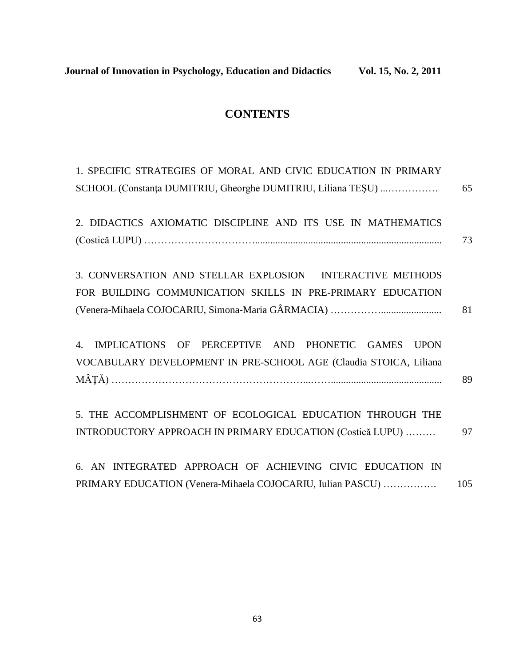## **CONTENTS**

| 1. SPECIFIC STRATEGIES OF MORAL AND CIVIC EDUCATION IN PRIMARY    |     |
|-------------------------------------------------------------------|-----|
| SCHOOL (Constanța DUMITRIU, Gheorghe DUMITRIU, Liliana TEȘU)      | 65  |
| 2. DIDACTICS AXIOMATIC DISCIPLINE AND ITS USE IN MATHEMATICS      |     |
|                                                                   | 73  |
| 3. CONVERSATION AND STELLAR EXPLOSION - INTERACTIVE METHODS       |     |
| FOR BUILDING COMMUNICATION SKILLS IN PRE-PRIMARY EDUCATION        |     |
|                                                                   | 81  |
| 4. IMPLICATIONS OF PERCEPTIVE AND PHONETIC GAMES UPON             |     |
| VOCABULARY DEVELOPMENT IN PRE-SCHOOL AGE (Claudia STOICA, Liliana |     |
|                                                                   | 89  |
| 5. THE ACCOMPLISHMENT OF ECOLOGICAL EDUCATION THROUGH THE         |     |
| INTRODUCTORY APPROACH IN PRIMARY EDUCATION (Costică LUPU)         | 97  |
| 6. AN INTEGRATED APPROACH OF ACHIEVING CIVIC EDUCATION IN         |     |
| PRIMARY EDUCATION (Venera-Mihaela COJOCARIU, Iulian PASCU)        | 105 |